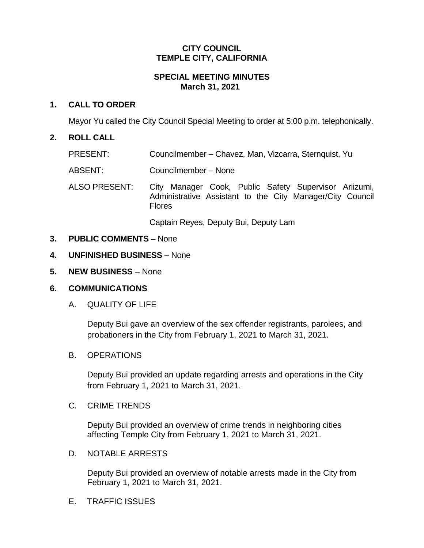#### **CITY COUNCIL TEMPLE CITY, CALIFORNIA**

## **SPECIAL MEETING MINUTES March 31, 2021**

## **1. CALL TO ORDER**

Mayor Yu called the City Council Special Meeting to order at 5:00 p.m. telephonically.

#### **2. ROLL CALL**

- PRESENT: Councilmember Chavez, Man, Vizcarra, Sternquist, Yu
- ABSENT: Councilmember None
- ALSO PRESENT: City Manager Cook, Public Safety Supervisor Ariizumi, Administrative Assistant to the City Manager/City Council Flores

Captain Reyes, Deputy Bui, Deputy Lam

- **3. PUBLIC COMMENTS** None
- **4. UNFINISHED BUSINESS** None
- **5. NEW BUSINESS** None

## **6. COMMUNICATIONS**

A. QUALITY OF LIFE

Deputy Bui gave an overview of the sex offender registrants, parolees, and probationers in the City from February 1, 2021 to March 31, 2021.

#### B. OPERATIONS

Deputy Bui provided an update regarding arrests and operations in the City from February 1, 2021 to March 31, 2021.

C. CRIME TRENDS

Deputy Bui provided an overview of crime trends in neighboring cities affecting Temple City from February 1, 2021 to March 31, 2021.

D. NOTABLE ARRESTS

Deputy Bui provided an overview of notable arrests made in the City from February 1, 2021 to March 31, 2021.

E. TRAFFIC ISSUES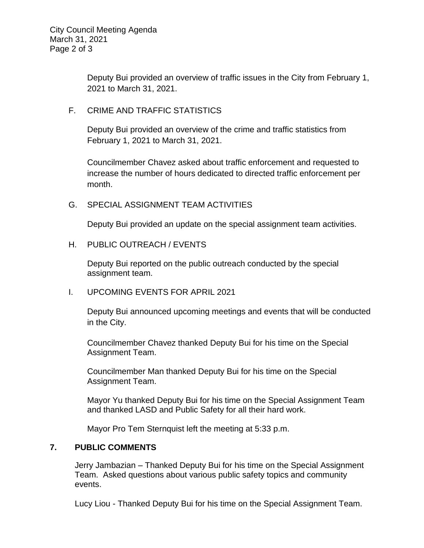Deputy Bui provided an overview of traffic issues in the City from February 1, 2021 to March 31, 2021.

## F. CRIME AND TRAFFIC STATISTICS

Deputy Bui provided an overview of the crime and traffic statistics from February 1, 2021 to March 31, 2021.

Councilmember Chavez asked about traffic enforcement and requested to increase the number of hours dedicated to directed traffic enforcement per month.

## G. SPECIAL ASSIGNMENT TEAM ACTIVITIES

Deputy Bui provided an update on the special assignment team activities.

## H. PUBLIC OUTREACH / EVENTS

Deputy Bui reported on the public outreach conducted by the special assignment team.

## I. UPCOMING EVENTS FOR APRIL 2021

Deputy Bui announced upcoming meetings and events that will be conducted in the City.

Councilmember Chavez thanked Deputy Bui for his time on the Special Assignment Team.

Councilmember Man thanked Deputy Bui for his time on the Special Assignment Team.

Mayor Yu thanked Deputy Bui for his time on the Special Assignment Team and thanked LASD and Public Safety for all their hard work.

Mayor Pro Tem Sternquist left the meeting at 5:33 p.m.

#### **7. PUBLIC COMMENTS**

Jerry Jambazian – Thanked Deputy Bui for his time on the Special Assignment Team. Asked questions about various public safety topics and community events.

Lucy Liou - Thanked Deputy Bui for his time on the Special Assignment Team.